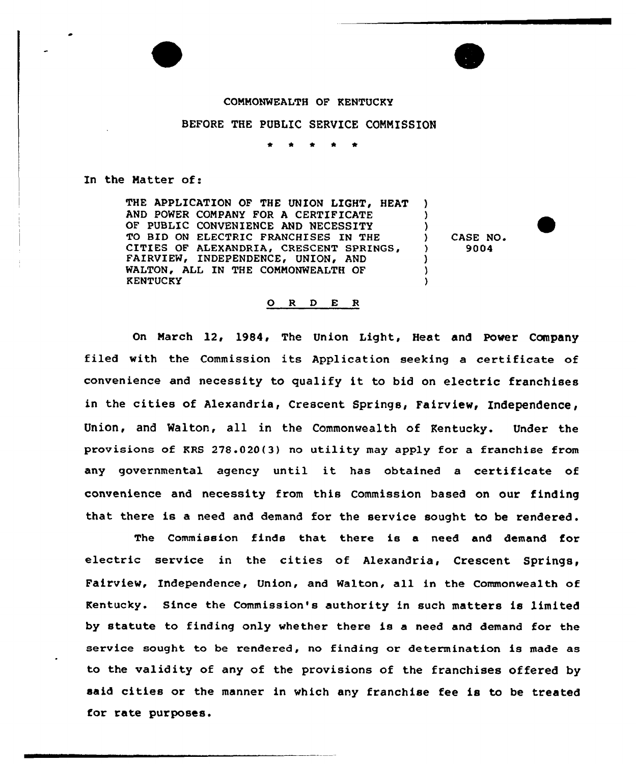## COMMONWEALTH OF KENTUCKY

## BEFORE THE PUBLIC SERVICE COMMISSION

## In the Matter of:

THE APPLICATION OF THE UNION LIGHT, HEAT AND POWER COMPANY FOR A CERTIFICATE OF PUBLIC CONVENIENCE AND NECESSITY TO BID ON ELECTRIC FRANCHISES IN THE CITIES OF ALEXANDRIA, CRESCENT SPRINGS FAIRVIEW, INDEPENDENCE, UNION, AND WALTON, ALL IN THE COMMONWEALTH OF **KENTUCKY** 

) CASE NO. ) 9004

) ) )

> ) ) )

## ORDER

On March 12, 1984, The Union Light, Heat and Power Company filed with the Commission its Application seeking <sup>a</sup> certificate of convenience and necessity to qualify it to bid on electric franchises in the cities of Alexandria, Crescent Springs, Fairview, Independence, Union, and Walton, all in the Commonwealth of Kentucky. Under the provisions of KRS 278.020(3) no utility may apply for a franchise from any governmental agency until it has obtained <sup>a</sup> certificate of convenience and necessity from this Commission based on our finding that there is a need and demand for the service sought to be rendered.

The Commission finds that there is a need and demand for electric service in the cities of Alexandria, Crescent Springs, Fairview, Independence, Union, and Walton, all in the Commonwealth of Kentucky. Since the Commission's authority in such matters is limited by statute to finding only whether there is a need and demand for the service sought to be rendered, no finding or determination is made as to the validity of any of the provisions of the franchises offered by said cities or the manner in which any franchise fee is to be treated for rate purposes.